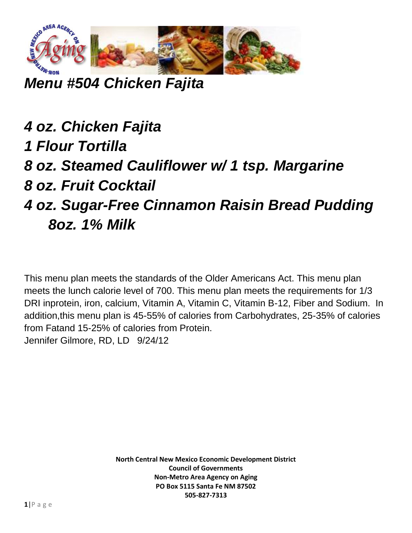

## *Menu #504 Chicken Fajita*

## *4 oz. Chicken Fajita 1 Flour Tortilla 8 oz. Steamed Cauliflower w/ 1 tsp. Margarine 8 oz. Fruit Cocktail 4 oz. Sugar-Free Cinnamon Raisin Bread Pudding 8oz. 1% Milk*

This menu plan meets the standards of the Older Americans Act. This menu plan meets the lunch calorie level of 700. This menu plan meets the requirements for 1/3 DRI inprotein, iron, calcium, Vitamin A, Vitamin C, Vitamin B-12, Fiber and Sodium. In addition,this menu plan is 45-55% of calories from Carbohydrates, 25-35% of calories from Fatand 15-25% of calories from Protein. Jennifer Gilmore, RD, LD 9/24/12

> **North Central New Mexico Economic Development District Council of Governments Non-Metro Area Agency on Aging PO Box 5115 Santa Fe NM 87502 505-827-7313**